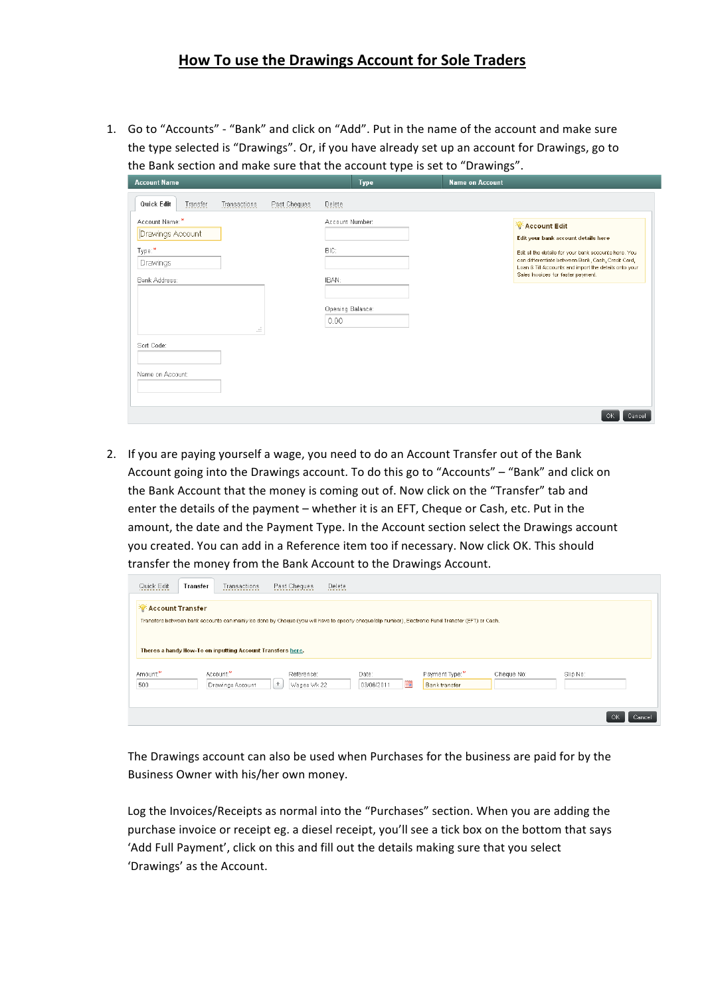## **How To use the Drawings Account for Sole Traders**

1. Go to "Accounts" - "Bank" and click on "Add". Put in the name of the account and make sure the type selected is "Drawings". Or, if you have already set up an account for Drawings, go to the Bank section and make sure that the account type is set to "Drawings".

| <b>Account Name</b>                                                                                    | <b>Type</b>                        | <b>Name on Account</b>                                                                                                                                                                                     |
|--------------------------------------------------------------------------------------------------------|------------------------------------|------------------------------------------------------------------------------------------------------------------------------------------------------------------------------------------------------------|
| Quick Edit<br>Transactions<br>Past Cheques<br>Transfer<br>Account Name:*<br>Drawings Account<br>Type:* | Delete<br>Account Number:<br>BIC:  | <b><i>CE Account Edit</i></b><br>Edit your bank account details here                                                                                                                                       |
| Drawings<br>Bank Address:<br>иĴ.<br>Sort Code:                                                         | IBAN:<br>Opening Balance:<br>0.00. | Edit all the details for your bank accounts here. You<br>can differentiate between Bank, Cash, Credit Card,<br>Loan & Till Accounts and import the details onto your<br>Sales Invoices for faster payment. |
| Name on Account:                                                                                       |                                    | OK.<br>Cancel                                                                                                                                                                                              |

2. If you are paying yourself a wage, you need to do an Account Transfer out of the Bank Account going into the Drawings account. To do this go to "Accounts" – "Bank" and click on the Bank Account that the money is coming out of. Now click on the "Transfer" tab and enter the details of the payment – whether it is an EFT, Cheque or Cash, etc. Put in the amount, the date and the Payment Type. In the Account section select the Drawings account you created. You can add in a Reference item too if necessary. Now click OK. This should transfer the money from the Bank Account to the Drawings Account.

| Quick Edit              | Transter | Transactions                                               | Past Cheques                   | Delete              |   |                                                                                                                                                     |            |          |              |
|-------------------------|----------|------------------------------------------------------------|--------------------------------|---------------------|---|-----------------------------------------------------------------------------------------------------------------------------------------------------|------------|----------|--------------|
| <b>Account Transfer</b> |          |                                                            |                                |                     |   | Transfers between bank accounts can mainly be done by Cheque (you will have to specify cheque/slip number), Electronic Fund Transfer (EFT) or Cash. |            |          |              |
|                         |          | Theres a handy How-To on inputting Account Transfers here. |                                |                     |   |                                                                                                                                                     |            |          |              |
| Amount:*<br>500         |          | Account:*<br>Drawings Account                              | Reference:<br>Wages Wk 22<br>÷ | Date:<br>03/06/2011 | ▦ | Payment Type:*<br><b>Banktransfer</b>                                                                                                               | Cheque No: | Slip No: |              |
|                         |          |                                                            |                                |                     |   |                                                                                                                                                     |            |          | OK<br>Cancel |

The Drawings account can also be used when Purchases for the business are paid for by the Business Owner with his/her own money.

Log the Invoices/Receipts as normal into the "Purchases" section. When you are adding the purchase invoice or receipt eg. a diesel receipt, you'll see a tick box on the bottom that says 'Add Full Payment', click on this and fill out the details making sure that you select 'Drawings' as the Account.